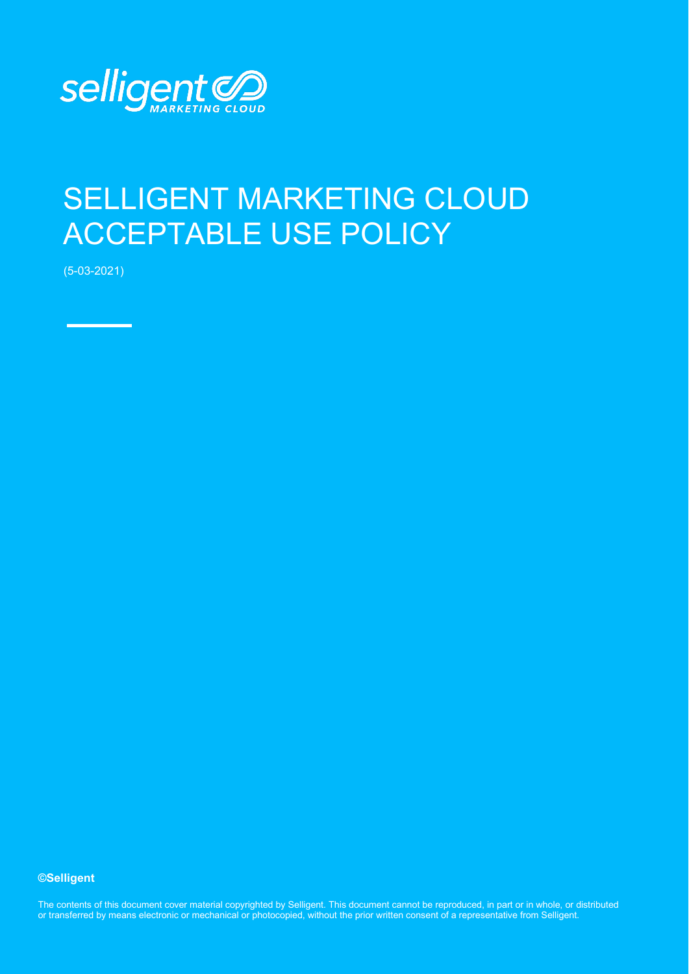

## SELLIGENT MARKETING CLOUD ACCEPTABLE USE POLICY

(5-03-2021)

## **©Selligent**

The contents of this document cover material copyrighted by Selligent. This document cannot be reproduced, in part or in whole, or distributed or transferred by means electronic or mechanical or photocopied, without the prior written consent of a representative from Selligent.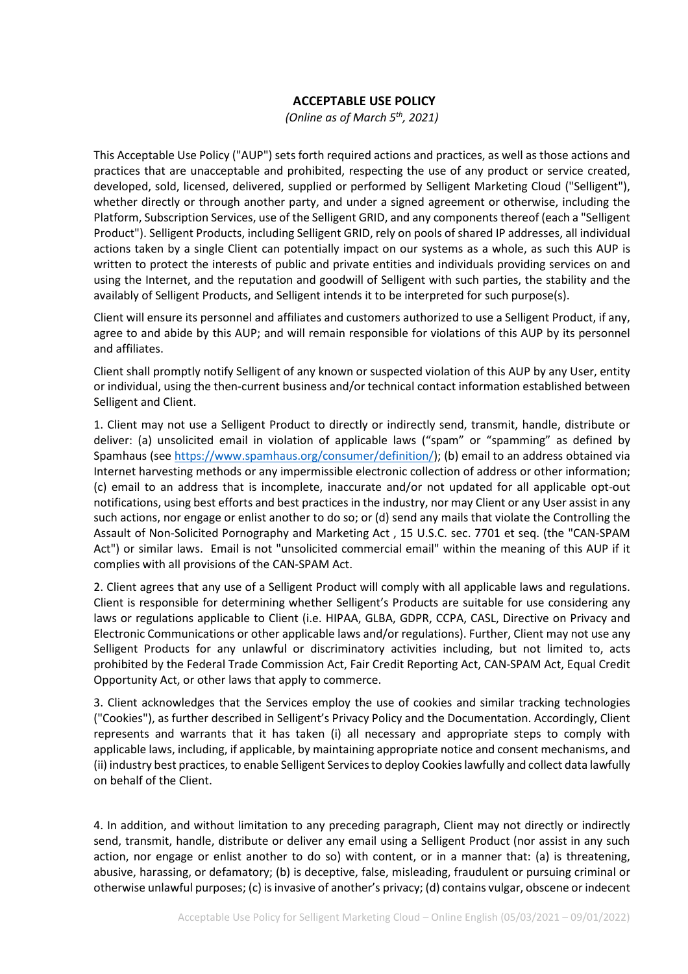## **ACCEPTABLE USE POLICY**

*(Online as of March 5th, 2021)*

This Acceptable Use Policy ("AUP") sets forth required actions and practices, as well as those actions and practices that are unacceptable and prohibited, respecting the use of any product or service created, developed, sold, licensed, delivered, supplied or performed by Selligent Marketing Cloud ("Selligent"), whether directly or through another party, and under a signed agreement or otherwise, including the Platform, Subscription Services, use of the Selligent GRID, and any components thereof (each a "Selligent Product"). Selligent Products, including Selligent GRID, rely on pools of shared IP addresses, all individual actions taken by a single Client can potentially impact on our systems as a whole, as such this AUP is written to protect the interests of public and private entities and individuals providing services on and using the Internet, and the reputation and goodwill of Selligent with such parties, the stability and the availably of Selligent Products, and Selligent intends it to be interpreted for such purpose(s).

Client will ensure its personnel and affiliates and customers authorized to use a Selligent Product, if any, agree to and abide by this AUP; and will remain responsible for violations of this AUP by its personnel and affiliates.

Client shall promptly notify Selligent of any known or suspected violation of this AUP by any User, entity or individual, using the then-current business and/or technical contact information established between Selligent and Client.

1. Client may not use a Selligent Product to directly or indirectly send, transmit, handle, distribute or deliver: (a) unsolicited email in violation of applicable laws ("spam" or "spamming" as defined by Spamhaus (see [https://www.spamhaus.org/consumer/definition/\)](https://www.spamhaus.org/consumer/definition/); (b) email to an address obtained via Internet harvesting methods or any impermissible electronic collection of address or other information; (c) email to an address that is incomplete, inaccurate and/or not updated for all applicable opt-out notifications, using best efforts and best practices in the industry, nor may Client or any User assist in any such actions, nor engage or enlist another to do so; or (d) send any mails that violate the Controlling the Assault of Non-Solicited Pornography and Marketing Act , 15 U.S.C. sec. 7701 et seq. (the "CAN-SPAM Act") or similar laws. Email is not "unsolicited commercial email" within the meaning of this AUP if it complies with all provisions of the CAN-SPAM Act.

2. Client agrees that any use of a Selligent Product will comply with all applicable laws and regulations. Client is responsible for determining whether Selligent's Products are suitable for use considering any laws or regulations applicable to Client (i.e. HIPAA, GLBA, GDPR, CCPA, CASL, Directive on Privacy and Electronic Communications or other applicable laws and/or regulations). Further, Client may not use any Selligent Products for any unlawful or discriminatory activities including, but not limited to, acts prohibited by the Federal Trade Commission Act, Fair Credit Reporting Act, CAN-SPAM Act, Equal Credit Opportunity Act, or other laws that apply to commerce.

3. Client acknowledges that the Services employ the use of cookies and similar tracking technologies ("Cookies"), as further described in Selligent's Privacy Policy and the Documentation. Accordingly, Client represents and warrants that it has taken (i) all necessary and appropriate steps to comply with applicable laws, including, if applicable, by maintaining appropriate notice and consent mechanisms, and (ii) industry best practices, to enable Selligent Services to deploy Cookies lawfully and collect data lawfully on behalf of the Client.

4. In addition, and without limitation to any preceding paragraph, Client may not directly or indirectly send, transmit, handle, distribute or deliver any email using a Selligent Product (nor assist in any such action, nor engage or enlist another to do so) with content, or in a manner that: (a) is threatening, abusive, harassing, or defamatory; (b) is deceptive, false, misleading, fraudulent or pursuing criminal or otherwise unlawful purposes; (c) is invasive of another's privacy; (d) contains vulgar, obscene or indecent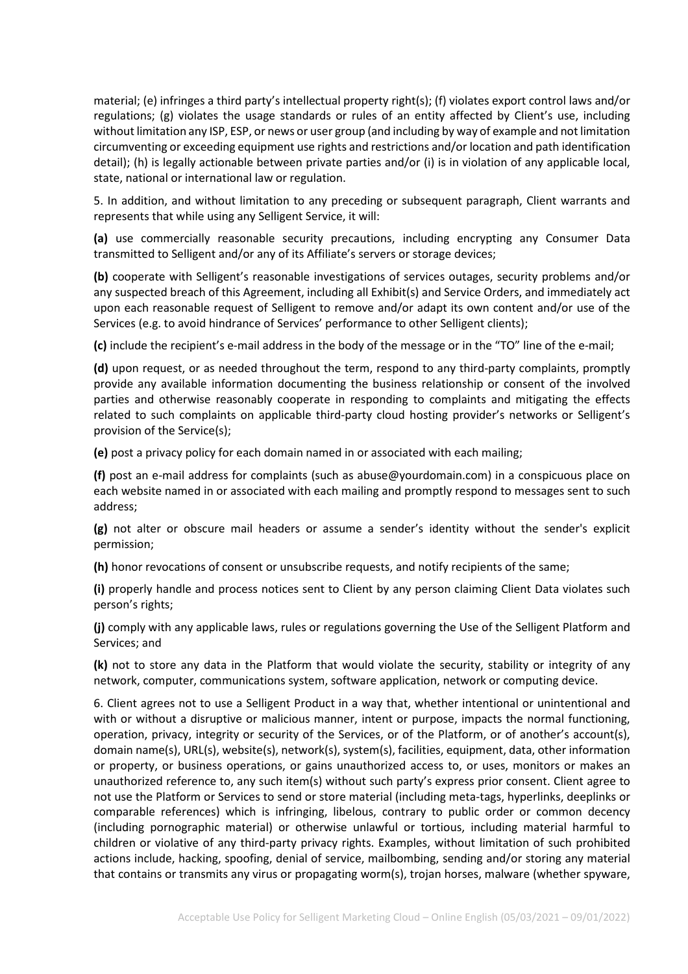material; (e) infringes a third party's intellectual property right(s); (f) violates export control laws and/or regulations; (g) violates the usage standards or rules of an entity affected by Client's use, including without limitation any ISP, ESP, or news or user group (and including by way of example and not limitation circumventing or exceeding equipment use rights and restrictions and/or location and path identification detail); (h) is legally actionable between private parties and/or (i) is in violation of any applicable local, state, national or international law or regulation.

5. In addition, and without limitation to any preceding or subsequent paragraph, Client warrants and represents that while using any Selligent Service, it will:

**(a)** use commercially reasonable security precautions, including encrypting any Consumer Data transmitted to Selligent and/or any of its Affiliate's servers or storage devices;

**(b)** cooperate with Selligent's reasonable investigations of services outages, security problems and/or any suspected breach of this Agreement, including all Exhibit(s) and Service Orders, and immediately act upon each reasonable request of Selligent to remove and/or adapt its own content and/or use of the Services (e.g. to avoid hindrance of Services' performance to other Selligent clients);

**(c)** include the recipient's e-mail address in the body of the message or in the "TO" line of the e-mail;

**(d)** upon request, or as needed throughout the term, respond to any third-party complaints, promptly provide any available information documenting the business relationship or consent of the involved parties and otherwise reasonably cooperate in responding to complaints and mitigating the effects related to such complaints on applicable third-party cloud hosting provider's networks or Selligent's provision of the Service(s);

**(e)** post a privacy policy for each domain named in or associated with each mailing;

**(f)** post an e-mail address for complaints (such as abuse@yourdomain.com) in a conspicuous place on each website named in or associated with each mailing and promptly respond to messages sent to such address;

**(g)** not alter or obscure mail headers or assume a sender's identity without the sender's explicit permission;

**(h)** honor revocations of consent or unsubscribe requests, and notify recipients of the same;

**(i)** properly handle and process notices sent to Client by any person claiming Client Data violates such person's rights;

**(j)** comply with any applicable laws, rules or regulations governing the Use of the Selligent Platform and Services; and

**(k)** not to store any data in the Platform that would violate the security, stability or integrity of any network, computer, communications system, software application, network or computing device.

6. Client agrees not to use a Selligent Product in a way that, whether intentional or unintentional and with or without a disruptive or malicious manner, intent or purpose, impacts the normal functioning, operation, privacy, integrity or security of the Services, or of the Platform, or of another's account(s), domain name(s), URL(s), website(s), network(s), system(s), facilities, equipment, data, other information or property, or business operations, or gains unauthorized access to, or uses, monitors or makes an unauthorized reference to, any such item(s) without such party's express prior consent. Client agree to not use the Platform or Services to send or store material (including meta-tags, hyperlinks, deeplinks or comparable references) which is infringing, libelous, contrary to public order or common decency (including pornographic material) or otherwise unlawful or tortious, including material harmful to children or violative of any third-party privacy rights. Examples, without limitation of such prohibited actions include, hacking, spoofing, denial of service, mailbombing, sending and/or storing any material that contains or transmits any virus or propagating worm(s), trojan horses, malware (whether spyware,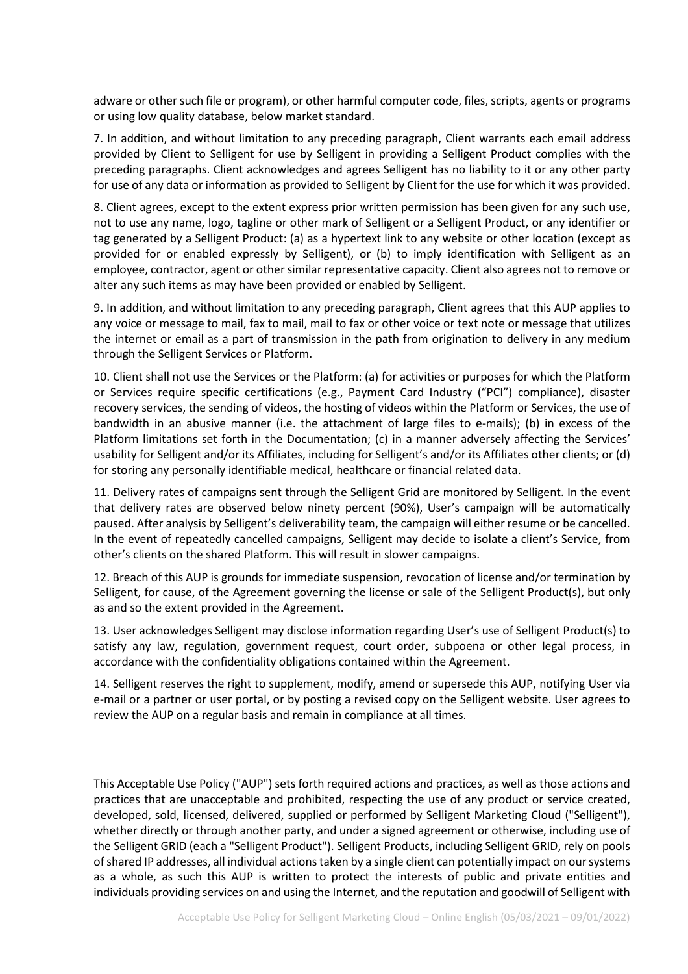adware or other such file or program), or other harmful computer code, files, scripts, agents or programs or using low quality database, below market standard.

7. In addition, and without limitation to any preceding paragraph, Client warrants each email address provided by Client to Selligent for use by Selligent in providing a Selligent Product complies with the preceding paragraphs. Client acknowledges and agrees Selligent has no liability to it or any other party for use of any data or information as provided to Selligent by Client for the use for which it was provided.

8. Client agrees, except to the extent express prior written permission has been given for any such use, not to use any name, logo, tagline or other mark of Selligent or a Selligent Product, or any identifier or tag generated by a Selligent Product: (a) as a hypertext link to any website or other location (except as provided for or enabled expressly by Selligent), or (b) to imply identification with Selligent as an employee, contractor, agent or other similar representative capacity. Client also agrees not to remove or alter any such items as may have been provided or enabled by Selligent.

9. In addition, and without limitation to any preceding paragraph, Client agrees that this AUP applies to any voice or message to mail, fax to mail, mail to fax or other voice or text note or message that utilizes the internet or email as a part of transmission in the path from origination to delivery in any medium through the Selligent Services or Platform.

10. Client shall not use the Services or the Platform: (a) for activities or purposes for which the Platform or Services require specific certifications (e.g., Payment Card Industry ("PCI") compliance), disaster recovery services, the sending of videos, the hosting of videos within the Platform or Services, the use of bandwidth in an abusive manner (i.e. the attachment of large files to e-mails); (b) in excess of the Platform limitations set forth in the Documentation; (c) in a manner adversely affecting the Services' usability for Selligent and/or its Affiliates, including for Selligent's and/or its Affiliates other clients; or (d) for storing any personally identifiable medical, healthcare or financial related data.

11. Delivery rates of campaigns sent through the Selligent Grid are monitored by Selligent. In the event that delivery rates are observed below ninety percent (90%), User's campaign will be automatically paused. After analysis by Selligent's deliverability team, the campaign will either resume or be cancelled. In the event of repeatedly cancelled campaigns, Selligent may decide to isolate a client's Service, from other's clients on the shared Platform. This will result in slower campaigns.

12. Breach of this AUP is grounds for immediate suspension, revocation of license and/or termination by Selligent, for cause, of the Agreement governing the license or sale of the Selligent Product(s), but only as and so the extent provided in the Agreement.

13. User acknowledges Selligent may disclose information regarding User's use of Selligent Product(s) to satisfy any law, regulation, government request, court order, subpoena or other legal process, in accordance with the confidentiality obligations contained within the Agreement.

14. Selligent reserves the right to supplement, modify, amend or supersede this AUP, notifying User via e-mail or a partner or user portal, or by posting a revised copy on the Selligent website. User agrees to review the AUP on a regular basis and remain in compliance at all times.

This Acceptable Use Policy ("AUP") sets forth required actions and practices, as well as those actions and practices that are unacceptable and prohibited, respecting the use of any product or service created, developed, sold, licensed, delivered, supplied or performed by Selligent Marketing Cloud ("Selligent"), whether directly or through another party, and under a signed agreement or otherwise, including use of the Selligent GRID (each a "Selligent Product"). Selligent Products, including Selligent GRID, rely on pools of shared IP addresses, all individual actions taken by a single client can potentially impact on our systems as a whole, as such this AUP is written to protect the interests of public and private entities and individuals providing services on and using the Internet, and the reputation and goodwill of Selligent with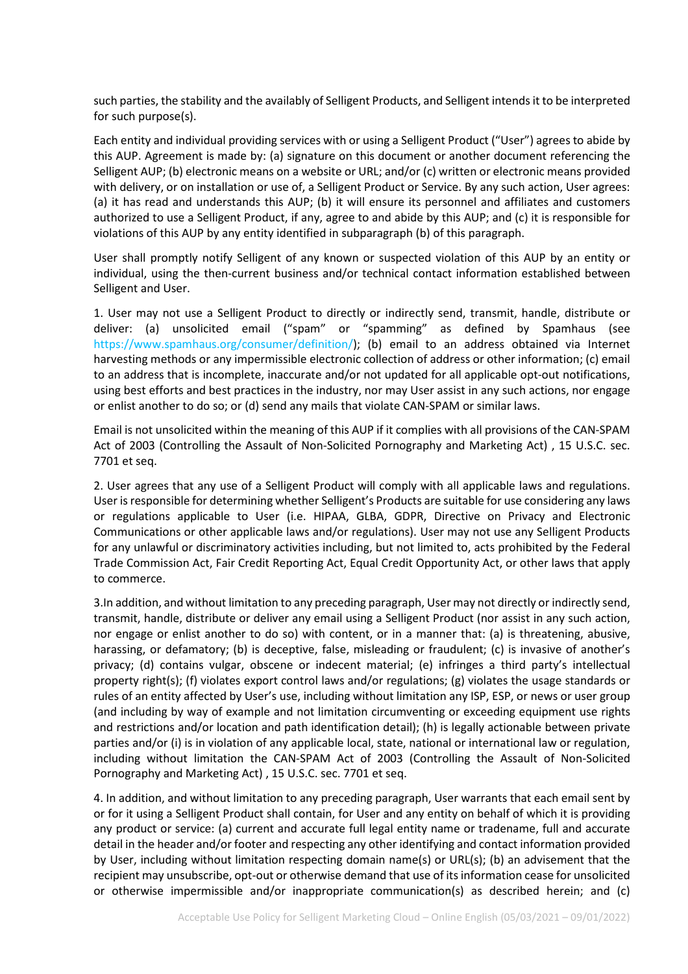such parties, the stability and the availably of Selligent Products, and Selligent intends it to be interpreted for such purpose(s).

Each entity and individual providing services with or using a Selligent Product ("User") agrees to abide by this AUP. Agreement is made by: (a) signature on this document or another document referencing the Selligent AUP; (b) electronic means on a website or URL; and/or (c) written or electronic means provided with delivery, or on installation or use of, a Selligent Product or Service. By any such action, User agrees: (a) it has read and understands this AUP; (b) it will ensure its personnel and affiliates and customers authorized to use a Selligent Product, if any, agree to and abide by this AUP; and (c) it is responsible for violations of this AUP by any entity identified in subparagraph (b) of this paragraph.

User shall promptly notify Selligent of any known or suspected violation of this AUP by an entity or individual, using the then-current business and/or technical contact information established between Selligent and User.

1. User may not use a Selligent Product to directly or indirectly send, transmit, handle, distribute or deliver: (a) unsolicited email ("spam" or "spamming" as defined by Spamhaus (see [https://www.spamhaus.org/consumer/definition/\)](https://www.spamhaus.org/consumer/definition/); (b) email to an address obtained via Internet harvesting methods or any impermissible electronic collection of address or other information; (c) email to an address that is incomplete, inaccurate and/or not updated for all applicable opt-out notifications, using best efforts and best practices in the industry, nor may User assist in any such actions, nor engage or enlist another to do so; or (d) send any mails that violate CAN-SPAM or similar laws.

Email is not unsolicited within the meaning of this AUP if it complies with all provisions of the CAN-SPAM Act of 2003 (Controlling the Assault of Non-Solicited Pornography and Marketing Act) , 15 U.S.C. sec. 7701 et seq.

2. User agrees that any use of a Selligent Product will comply with all applicable laws and regulations. User is responsible for determining whether Selligent's Products are suitable for use considering any laws or regulations applicable to User (i.e. HIPAA, GLBA, GDPR, Directive on Privacy and Electronic Communications or other applicable laws and/or regulations). User may not use any Selligent Products for any unlawful or discriminatory activities including, but not limited to, acts prohibited by the Federal Trade Commission Act, Fair Credit Reporting Act, Equal Credit Opportunity Act, or other laws that apply to commerce.

3.In addition, and without limitation to any preceding paragraph, User may not directly or indirectly send, transmit, handle, distribute or deliver any email using a Selligent Product (nor assist in any such action, nor engage or enlist another to do so) with content, or in a manner that: (a) is threatening, abusive, harassing, or defamatory; (b) is deceptive, false, misleading or fraudulent; (c) is invasive of another's privacy; (d) contains vulgar, obscene or indecent material; (e) infringes a third party's intellectual property right(s); (f) violates export control laws and/or regulations; (g) violates the usage standards or rules of an entity affected by User's use, including without limitation any ISP, ESP, or news or user group (and including by way of example and not limitation circumventing or exceeding equipment use rights and restrictions and/or location and path identification detail); (h) is legally actionable between private parties and/or (i) is in violation of any applicable local, state, national or international law or regulation, including without limitation the CAN-SPAM Act of 2003 (Controlling the Assault of Non-Solicited Pornography and Marketing Act) , 15 U.S.C. sec. 7701 et seq.

4. In addition, and without limitation to any preceding paragraph, User warrants that each email sent by or for it using a Selligent Product shall contain, for User and any entity on behalf of which it is providing any product or service: (a) current and accurate full legal entity name or tradename, full and accurate detail in the header and/or footer and respecting any other identifying and contact information provided by User, including without limitation respecting domain name(s) or URL(s); (b) an advisement that the recipient may unsubscribe, opt-out or otherwise demand that use of its information cease for unsolicited or otherwise impermissible and/or inappropriate communication(s) as described herein; and (c)